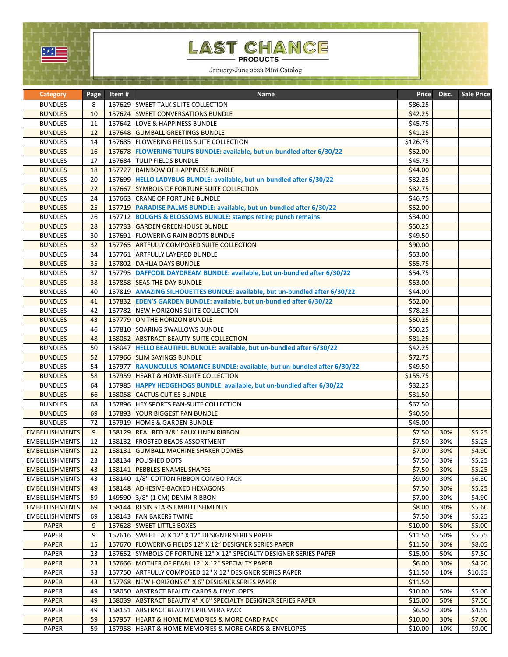

## LAST CHANGE

January-June 2022 Mini Catalog ale si puede si especies de la provincia

| <b>Category</b>              | Page   | Item#  | <b>Name</b>                                                                    | Price              | Disc.      | <b>Sale Price</b> |
|------------------------------|--------|--------|--------------------------------------------------------------------------------|--------------------|------------|-------------------|
| <b>BUNDLES</b>               | 8      |        | 157629 SWEET TALK SUITE COLLECTION                                             | \$86.25            |            |                   |
| <b>BUNDLES</b>               | 10     |        | 157624 SWEET CONVERSATIONS BUNDLE                                              | \$42.25            |            |                   |
| <b>BUNDLES</b>               | 11     |        | 157642 LOVE & HAPPINESS BUNDLE                                                 | \$45.75            |            |                   |
| <b>BUNDLES</b>               | 12     |        | 157648 GUMBALL GREETINGS BUNDLE                                                | \$41.25            |            |                   |
| <b>BUNDLES</b>               | 14     |        | 157685   FLOWERING FIELDS SUITE COLLECTION                                     | \$126.75           |            |                   |
| <b>BUNDLES</b>               | 16     |        | 157678 FLOWERING TULIPS BUNDLE: available, but un-bundled after 6/30/22        | \$52.00            |            |                   |
| <b>BUNDLES</b>               | 17     |        | 157684 TULIP FIELDS BUNDLE                                                     | \$45.75            |            |                   |
| <b>BUNDLES</b>               | 18     | 157727 | <b>RAINBOW OF HAPPINESS BUNDLE</b>                                             | \$44.00            |            |                   |
| <b>BUNDLES</b>               | 20     |        | 157699 HELLO LADYBUG BUNDLE: available, but un-bundled after 6/30/22           | \$32.25            |            |                   |
| <b>BUNDLES</b>               | 22     |        | 157667 SYMBOLS OF FORTUNE SUITE COLLECTION                                     | \$82.75            |            |                   |
| <b>BUNDLES</b>               | 24     |        | 157663 CRANE OF FORTUNE BUNDLE                                                 | \$46.75            |            |                   |
| <b>BUNDLES</b>               | 25     |        | 157719 PARADISE PALMS BUNDLE: available, but un-bundled after 6/30/22          | \$52.00            |            |                   |
| <b>BUNDLES</b>               | 26     |        | 157712 BOUGHS & BLOSSOMS BUNDLE: stamps retire; punch remains                  | \$34.00            |            |                   |
| <b>BUNDLES</b>               | 28     |        | 157733 GARDEN GREENHOUSE BUNDLE                                                | \$50.25            |            |                   |
| <b>BUNDLES</b>               | 30     |        | 157691 FLOWERING RAIN BOOTS BUNDLE                                             | \$49.50            |            |                   |
| <b>BUNDLES</b>               | 32     |        | 157765 ARTFULLY COMPOSED SUITE COLLECTION                                      | \$90.00            |            |                   |
| <b>BUNDLES</b>               | 34     |        | 157761 ARTFULLY LAYERED BUNDLE                                                 | \$53.00            |            |                   |
| <b>BUNDLES</b>               | 35     |        | 157802 DAHLIA DAYS BUNDLE                                                      | \$55.75            |            |                   |
| <b>BUNDLES</b>               | 37     |        | 157795 DAFFODIL DAYDREAM BUNDLE: available, but un-bundled after 6/30/22       | \$54.75            |            |                   |
| <b>BUNDLES</b>               | 38     |        | 157858 SEAS THE DAY BUNDLE                                                     | \$53.00            |            |                   |
| <b>BUNDLES</b>               | 40     |        | 157819 AMAZING SILHOUETTES BUNDLE: available, but un-bundled after 6/30/22     | \$44.00            |            |                   |
| <b>BUNDLES</b>               | 41     |        | 157832 EDEN'S GARDEN BUNDLE: available, but un-bundled after 6/30/22           | \$52.00            |            |                   |
| <b>BUNDLES</b>               | 42     |        | 157782 NEW HORIZONS SUITE COLLECTION                                           | \$78.25            |            |                   |
| <b>BUNDLES</b>               | 43     |        | 157779 ON THE HORIZON BUNDLE                                                   | \$50.25            |            |                   |
| <b>BUNDLES</b>               | 46     |        | 157810 SOARING SWALLOWS BUNDLE                                                 | \$50.25            |            |                   |
| <b>BUNDLES</b>               | 48     |        | 158052 ABSTRACT BEAUTY-SUITE COLLECTION                                        | \$81.25            |            |                   |
| <b>BUNDLES</b>               | 50     |        | 158047 HELLO BEAUTIFUL BUNDLE: available, but un-bundled after 6/30/22         | \$42.25            |            |                   |
| <b>BUNDLES</b>               | 52     |        | 157966 SLIM SAYINGS BUNDLE                                                     | \$72.75            |            |                   |
| <b>BUNDLES</b>               | 54     | 157977 | RANUNCULUS ROMANCE BUNDLE: available, but un-bundled after 6/30/22             | \$49.50            |            |                   |
| <b>BUNDLES</b>               | 58     | 157959 | <b>HEART &amp; HOME-SUITE COLLECTION</b>                                       | \$155.75           |            |                   |
| <b>BUNDLES</b>               | 64     |        | 157985   HAPPY HEDGEHOGS BUNDLE: available, but un-bundled after 6/30/22       | \$32.25            |            |                   |
| <b>BUNDLES</b>               | 66     |        | 158058 CACTUS CUTIES BUNDLE                                                    | \$31.50            |            |                   |
| <b>BUNDLES</b>               | 68     |        | 157896 HEY SPORTS FAN-SUITE COLLECTION                                         | \$67.50            |            |                   |
| <b>BUNDLES</b>               | 69     |        | 157893 YOUR BIGGEST FAN BUNDLE                                                 | \$40.50            |            |                   |
| <b>BUNDLES</b>               | 72     |        | 157919 HOME & GARDEN BUNDLE                                                    | \$45.00            |            |                   |
| <b>EMBELLISHMENTS</b>        | 9      |        | 158129 REAL RED 3/8" FAUX LINEN RIBBON                                         | \$7.50             | 30%        | \$5.25            |
| <b>EMBELLISHMENTS</b>        | 12     |        | 158132 FROSTED BEADS ASSORTMENT                                                | \$7.50             | 30%        | \$5.25            |
| <b>EMBELLISHMENTS</b>        | 12     |        | 158131 GUMBALL MACHINE SHAKER DOMES                                            | \$7.00             | 30%        | \$4.90            |
| <b>EMBELLISHMENTS</b>        | 23     |        | 158134 POLISHED DOTS                                                           | \$7.50             | 30%        | \$5.25            |
| <b>EMBELLISHMENTS</b>        | 43     |        | 158141   PEBBLES ENAMEL SHAPES                                                 | \$7.50             | 30%        | \$5.25            |
| <b>EMBELLISHMENTS</b>        | 43     |        | 158140   1/8" COTTON RIBBON COMBO PACK                                         | \$9.00             | 30%        | \$6.30            |
| <b>EMBELLISHMENTS</b>        | 49     |        | 158148 ADHESIVE-BACKED HEXAGONS                                                | \$7.50             | 30%        | \$5.25            |
| <b>EMBELLISHMENTS</b>        | 59     |        | 149590 3/8" (1 CM) DENIM RIBBON                                                | \$7.00             | 30%        | \$4.90            |
| <b>EMBELLISHMENTS</b>        | 69     |        | 158144 RESIN STARS EMBELLISHMENTS                                              | \$8.00             | 30%        | \$5.60            |
| <b>EMBELLISHMENTS</b>        | 69     |        | 158143   FAN BAKERS TWINE                                                      | \$7.50             | 30%        | \$5.25            |
| <b>PAPER</b><br><b>PAPER</b> | 9<br>9 |        | 157628 SWEET LITTLE BOXES<br>157616 SWEET TALK 12" X 12" DESIGNER SERIES PAPER | \$10.00<br>\$11.50 | 50%        | \$5.00<br>\$5.75  |
| <b>PAPER</b>                 | 15     |        | 157670 FLOWERING FIELDS 12" X 12" DESIGNER SERIES PAPER                        | \$11.50            | 50%<br>30% | \$8.05            |
| PAPER                        | 23     |        | 157652 SYMBOLS OF FORTUNE 12" X 12" SPECIALTY DESIGNER SERIES PAPER            | \$15.00            | 50%        | \$7.50            |
| <b>PAPER</b>                 | 23     |        | 157666 MOTHER OF PEARL 12" X 12" SPECIALTY PAPER                               | \$6.00             | 30%        | \$4.20            |
| PAPER                        | 33     |        | 157750 ARTFULLY COMPOSED 12" X 12" DESIGNER SERIES PAPER                       | \$11.50            | 10%        | \$10.35           |
| <b>PAPER</b>                 | 43     |        | 157768 NEW HORIZONS 6" X 6" DESIGNER SERIES PAPER                              | \$11.50            |            |                   |
| <b>PAPER</b>                 | 49     |        | 158050 ABSTRACT BEAUTY CARDS & ENVELOPES                                       | \$10.00            | 50%        | \$5.00            |
| <b>PAPER</b>                 | 49     |        | 158039 ABSTRACT BEAUTY 4" X 6" SPECIALTY DESIGNER SERIES PAPER                 | \$15.00            | 50%        | \$7.50            |
| PAPER                        | 49     |        | 158151 ABSTRACT BEAUTY EPHEMERA PACK                                           | \$6.50             | 30%        | \$4.55            |
| PAPER                        | 59     |        | 157957   HEART & HOME MEMORIES & MORE CARD PACK                                | \$10.00            | 30%        | \$7.00            |
| PAPER                        | 59     |        | 157958 HEART & HOME MEMORIES & MORE CARDS & ENVELOPES                          | \$10.00            | 10%        | \$9.00            |